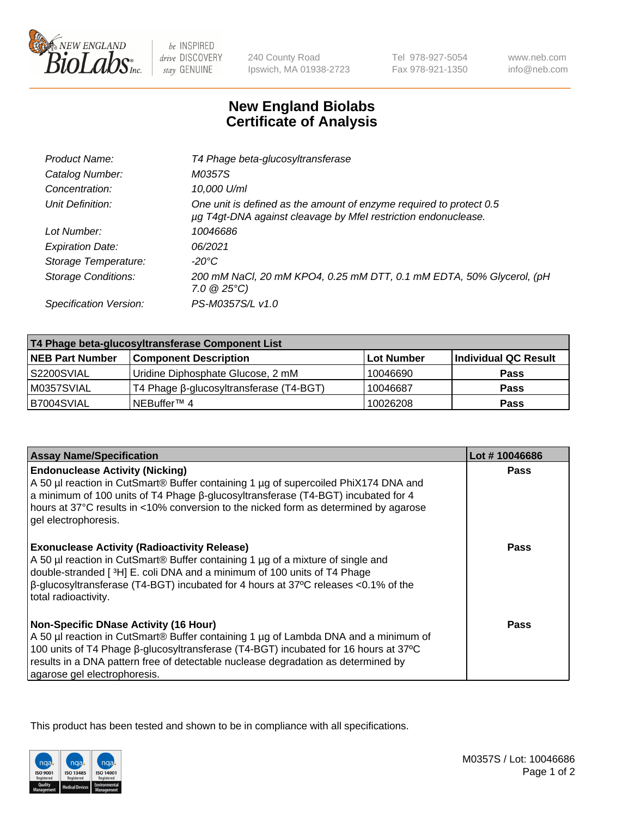

 $be$  INSPIRED drive DISCOVERY stay GENUINE

240 County Road Ipswich, MA 01938-2723 Tel 978-927-5054 Fax 978-921-1350 www.neb.com info@neb.com

## **New England Biolabs Certificate of Analysis**

| T4 Phage beta-glucosyltransferase                                                                                                     |
|---------------------------------------------------------------------------------------------------------------------------------------|
| M0357S                                                                                                                                |
| 10,000 U/ml                                                                                                                           |
| One unit is defined as the amount of enzyme required to protect 0.5<br>µg T4gt-DNA against cleavage by Mfel restriction endonuclease. |
| 10046686                                                                                                                              |
| 06/2021                                                                                                                               |
| -20°C                                                                                                                                 |
| 200 mM NaCl, 20 mM KPO4, 0.25 mM DTT, 0.1 mM EDTA, 50% Glycerol, (pH<br>$7.0 \ @ 25^{\circ}C$                                         |
| PS-M0357S/L v1.0                                                                                                                      |
|                                                                                                                                       |

| T4 Phage beta-glucosyltransferase Component List |                                         |            |                      |  |
|--------------------------------------------------|-----------------------------------------|------------|----------------------|--|
| <b>NEB Part Number</b>                           | <b>Component Description</b>            | Lot Number | Individual QC Result |  |
| S2200SVIAL                                       | Uridine Diphosphate Glucose, 2 mM       | 10046690   | <b>Pass</b>          |  |
| M0357SVIAL                                       | T4 Phage β-glucosyltransferase (T4-BGT) | 10046687   | <b>Pass</b>          |  |
| B7004SVIAL                                       | <sup>I</sup> NEBuffer™ 4                | 10026208   | <b>Pass</b>          |  |

| <b>Assay Name/Specification</b>                                                                                                                                                                                                                                                                                                                 | Lot #10046686 |
|-------------------------------------------------------------------------------------------------------------------------------------------------------------------------------------------------------------------------------------------------------------------------------------------------------------------------------------------------|---------------|
| <b>Endonuclease Activity (Nicking)</b><br>A 50 µl reaction in CutSmart® Buffer containing 1 µg of supercoiled PhiX174 DNA and<br>a minimum of 100 units of T4 Phage B-glucosyltransferase (T4-BGT) incubated for 4<br>hours at 37°C results in <10% conversion to the nicked form as determined by agarose<br>gel electrophoresis.              | <b>Pass</b>   |
| <b>Exonuclease Activity (Radioactivity Release)</b><br>A 50 µl reaction in CutSmart® Buffer containing 1 µg of a mixture of single and<br>double-stranded [3H] E. coli DNA and a minimum of 100 units of T4 Phage<br>$\beta$ -glucosyltransferase (T4-BGT) incubated for 4 hours at 37°C releases <0.1% of the<br>total radioactivity.          | Pass          |
| <b>Non-Specific DNase Activity (16 Hour)</b><br>A 50 µl reaction in CutSmart® Buffer containing 1 µg of Lambda DNA and a minimum of<br>100 units of T4 Phage β-glucosyltransferase (T4-BGT) incubated for 16 hours at 37°C<br>results in a DNA pattern free of detectable nuclease degradation as determined by<br>agarose gel electrophoresis. | <b>Pass</b>   |

This product has been tested and shown to be in compliance with all specifications.